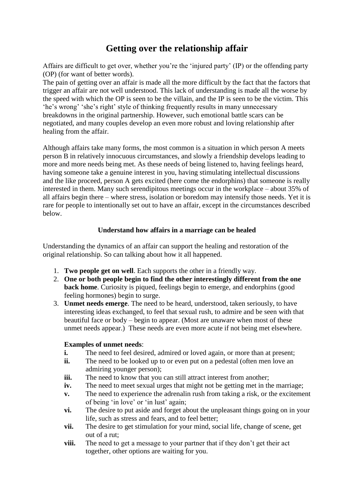### **Getting over the relationship affair**

Affairs are difficult to get over, whether you're the 'injured party' (IP) or the offending party (OP) (for want of better words).

The pain of getting over an affair is made all the more difficult by the fact that the factors that trigger an affair are not well understood. This lack of understanding is made all the worse by the speed with which the OP is seen to be the villain, and the IP is seen to be the victim. This 'he's wrong' 'she's right' style of thinking frequently results in many unnecessary breakdowns in the original partnership. However, such emotional battle scars can be negotiated, and many couples develop an even more robust and loving relationship after healing from the affair.

Although affairs take many forms, the most common is a situation in which person A meets person B in relatively innocuous circumstances, and slowly a friendship develops leading to more and more needs being met. As these needs of being listened to, having feelings heard, having someone take a genuine interest in you, having stimulating intellectual discussions and the like proceed, person A gets excited (here come the endorphins) that someone is really interested in them. Many such serendipitous meetings occur in the workplace – about 35% of all affairs begin there – where stress, isolation or boredom may intensify those needs. Yet it is rare for people to intentionally set out to have an affair, except in the circumstances described below.

#### **Understand how affairs in a marriage can be healed**

Understanding the dynamics of an affair can support the healing and restoration of the original relationship. So can talking about how it all happened.

- 1. **Two people get on well**. Each supports the other in a friendly way.
- 2. **One or both people begin to find the other interestingly different from the one back home**. Curiosity is piqued, feelings begin to emerge, and endorphins (good feeling hormones) begin to surge.
- 3. **Unmet needs emerge**. The need to be heard, understood, taken seriously, to have interesting ideas exchanged, to feel that sexual rush, to admire and be seen with that beautiful face or body – begin to appear. (Most are unaware when most of these unmet needs appear.) These needs are even more acute if not being met elsewhere.

#### **Examples of unmet needs**:

- **i.** The need to feel desired, admired or loved again, or more than at present;
- **ii.** The need to be looked up to or even put on a pedestal (often men love an admiring younger person);
- iii. The need to know that you can still attract interest from another;
- **iv.** The need to meet sexual urges that might not be getting met in the marriage;
- **v.** The need to experience the adrenalin rush from taking a risk, or the excitement of being 'in love' or 'in lust' again;
- **vi.** The desire to put aside and forget about the unpleasant things going on in your life, such as stress and fears, and to feel better;
- **vii.** The desire to get stimulation for your mind, social life, change of scene, get out of a rut;
- **viii.** The need to get a message to your partner that if they don't get their act together, other options are waiting for you.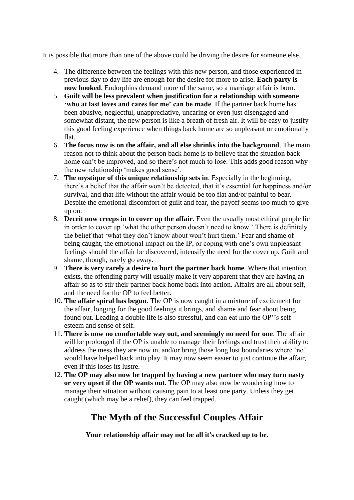It is possible that more than one of the above could be driving the desire for someone else.

- 4. The difference between the feelings with this new person, and those experienced in previous day to day life are enough for the desire for more to arise. **Each party is now hooked**. Endorphins demand more of the same, so a marriage affair is born.
- 5. **Guilt will be less prevalent when justification for a relationship with someone 'who at last loves and cares for me' can be made**. If the partner back home has been abusive, neglectful, unappreciative, uncaring or even just disengaged and somewhat distant, the new person is like a breath of fresh air. It will be easy to justify this good feeling experience when things back home are so unpleasant or emotionally flat.
- 6. **The focus now is on the affair, and all else shrinks into the background**. The main reason not to think about the person back home is to believe that the situation back home can't be improved, and so there's not much to lose. This adds good reason why the new relationship 'makes good sense'.
- 7. **The mystique of this unique relationship sets in**. Especially in the beginning, there's a belief that the affair won't be detected, that it's essential for happiness and/or survival, and that life without the affair would be too flat and/or painful to bear. Despite the emotional discomfort of guilt and fear, the payoff seems too much to give up on.
- 8. **Deceit now creeps in to cover up the affair**. Even the usually most ethical people lie in order to cover up 'what the other person doesn't need to know.' There is definitely the belief that 'what they don't know about won't hurt them.' Fear and shame of being caught, the emotional impact on the IP, or coping with one's own unpleasant feelings should the affair be discovered, intensify the need for the cover up. Guilt and shame, though, rarely go away.
- 9. **There is very rarely a desire to hurt the partner back home**. Where that intention exists, the offending party will usually make it very apparent that they are having an affair so as to stir their partner back home back into action. Affairs are all about self, and the need for the OP to feel better.
- 10. **The affair spiral has begun**. The OP is now caught in a mixture of excitement for the affair, longing for the good feelings it brings, and shame and fear about being found out. Leading a double life is also stressful, and can eat into the OP''s selfesteem and sense of self.
- 11. **There is now no comfortable way out, and seemingly no need for one**. The affair will be prolonged if the OP is unable to manage their feelings and trust their ability to address the mess they are now in, and/or bring those long lost boundaries where 'no' would have helped back into play. It may now seem easier to just continue the affair, even if this loses its lustre.
- 12. **The OP may also now be trapped by having a new partner who may turn nasty or very upset if the OP wants out**. The OP may also now be wondering how to manage their situation without causing pain to at least one party. Unless they get caught (which may be a relief), they can feel trapped.

# **The Myth of the Successful Couples Affair**

**Your relationship affair may not be all it's cracked up to be.**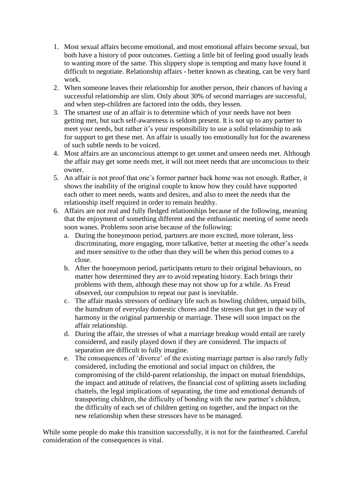- 1. Most sexual affairs become emotional, and most emotional affairs become sexual, but both have a history of poor outcomes. Getting a little bit of feeling good usually leads to wanting more of the same. This slippery slope is tempting and many have found it difficult to negotiate. Relationship affairs - better known as cheating, can be very hard work.
- 2. When someone leaves their relationship for another person, their chances of having a successful relationship are slim. Only about 30% of second marriages are successful, and when step-children are factored into the odds, they lessen.
- 3. The smartest use of an affair is to determine which of your needs have not been getting met, but such self-awareness is seldom present. It is not up to any partner to meet your needs, but rather it's your responsibility to use a solid relationship to ask for support to get these met. An affair is usually too emotionally hot for the awareness of such subtle needs to be voiced.
- 4. Most affairs are an unconscious attempt to get unmet and unseen needs met. Although the affair may get some needs met, it will not meet needs that are unconscious to their owner.
- 5. An affair is not proof that one's former partner back home was not enough. Rather, it shows the inability of the original couple to know how they could have supported each other to meet needs, wants and desires, and also to meet the needs that the relationship itself required in order to remain healthy.
- 6. Affairs are not real and fully fledged relationships because of the following, meaning that the enjoyment of something different and the enthusiastic meeting of some needs soon wanes. Problems soon arise because of the following:
	- a. During the honeymoon period, partners are more excited, more tolerant, less discriminating, more engaging, more talkative, better at meeting the other's needs and more sensitive to the other than they will be when this period comes to a close.
	- b. After the honeymoon period, participants return to their original behaviours, no matter how determined they are to avoid repeating history. Each brings their problems with them, although these may not show up for a while. As Freud observed, our compulsion to repeat our past is inevitable.
	- c. The affair masks stressors of ordinary life such as howling children, unpaid bills, the humdrum of everyday domestic chores and the stresses that get in the way of harmony in the original partnership or marriage. These will soon impact on the affair relationship.
	- d. During the affair, the stresses of what a marriage breakup would entail are rarely considered, and easily played down if they are considered. The impacts of separation are difficult to fully imagine.
	- e. The consequences of 'divorce' of the existing marriage partner is also rarely fully considered, including the emotional and social impact on children, the compromising of the child-parent relationship, the impact on mutual friendships, the impact and attitude of relatives, the financial cost of splitting assets including chattels, the legal implications of separating, the time and emotional demands of transporting children, the difficulty of bonding with the new partner's children, the difficulty of each set of children getting on together, and the impact on the new relationship when these stressors have to be managed.

While some people do make this transition successfully, it is not for the fainthearted. Careful consideration of the consequences is vital.